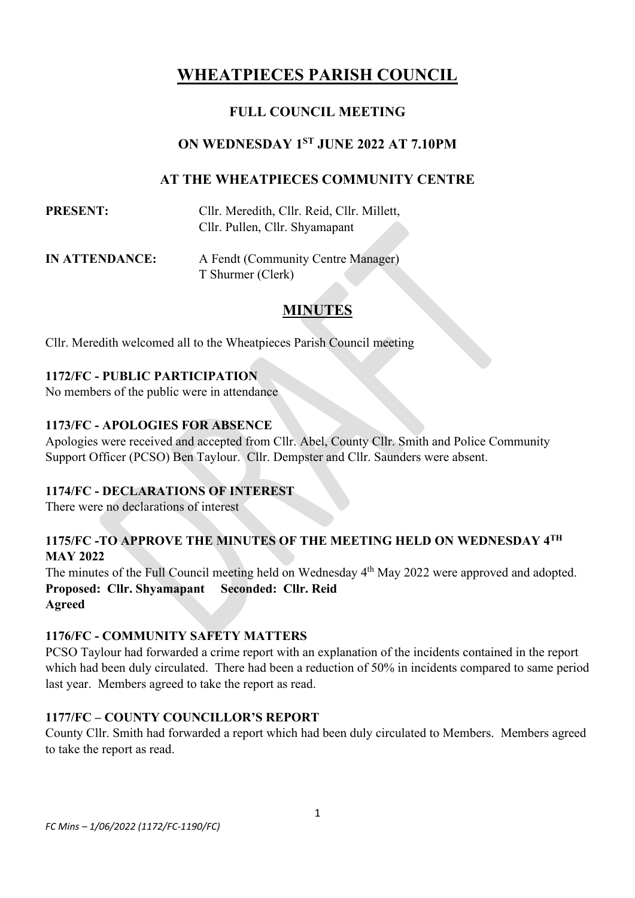# **WHEATPIECES PARISH COUNCIL**

# **FULL COUNCIL MEETING**

### **ON WEDNESDAY 1 ST JUNE 2022 AT 7.10PM**

### **AT THE WHEATPIECES COMMUNITY CENTRE**

| <b>PRESENT:</b> | Cllr. Meredith, Cllr. Reid, Cllr. Millett, |
|-----------------|--------------------------------------------|
|                 | Cllr. Pullen, Cllr. Shyamapant             |

**IN ATTENDANCE:** A Fendt (Community Centre Manager) T Shurmer (Clerk)

# **MINUTES**

Cllr. Meredith welcomed all to the Wheatpieces Parish Council meeting

### **1172/FC - PUBLIC PARTICIPATION**

No members of the public were in attendance

#### **1173/FC - APOLOGIES FOR ABSENCE**

Apologies were received and accepted from Cllr. Abel, County Cllr. Smith and Police Community Support Officer (PCSO) Ben Taylour. Cllr. Dempster and Cllr. Saunders were absent.

#### **1174/FC - DECLARATIONS OF INTEREST**

There were no declarations of interest

### **1175/FC -TO APPROVE THE MINUTES OF THE MEETING HELD ON WEDNESDAY 4 TH MAY 2022**

The minutes of the Full Council meeting held on Wednesday 4<sup>th</sup> May 2022 were approved and adopted. **Proposed: Cllr. Shyamapant Seconded: Cllr. Reid Agreed**

#### **1176/FC - COMMUNITY SAFETY MATTERS**

PCSO Taylour had forwarded a crime report with an explanation of the incidents contained in the report which had been duly circulated. There had been a reduction of 50% in incidents compared to same period last year. Members agreed to take the report as read.

#### **1177/FC – COUNTY COUNCILLOR'S REPORT**

County Cllr. Smith had forwarded a report which had been duly circulated to Members. Members agreed to take the report as read.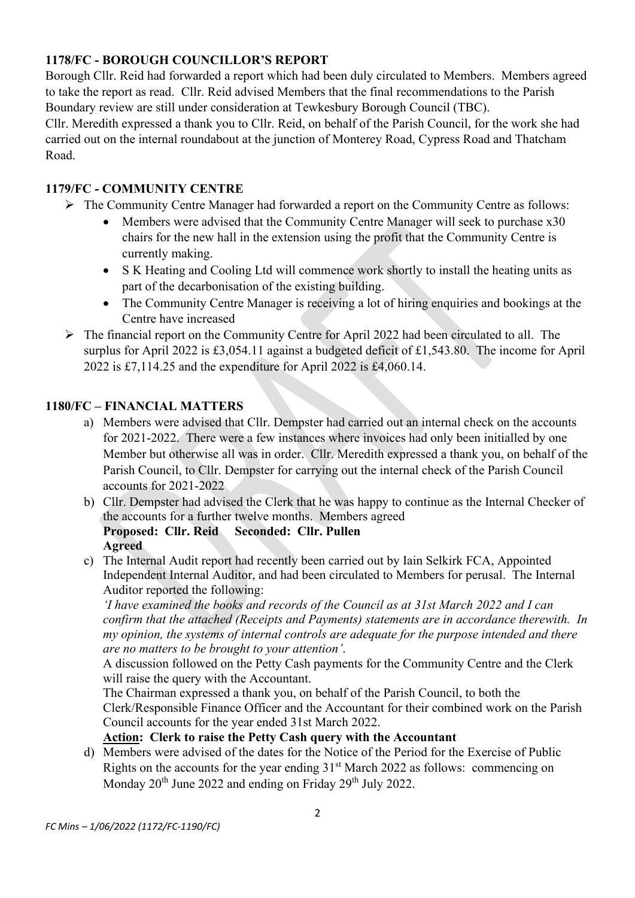# **1178/FC - BOROUGH COUNCILLOR'S REPORT**

Borough Cllr. Reid had forwarded a report which had been duly circulated to Members. Members agreed to take the report as read. Cllr. Reid advised Members that the final recommendations to the Parish Boundary review are still under consideration at Tewkesbury Borough Council (TBC).

Cllr. Meredith expressed a thank you to Cllr. Reid, on behalf of the Parish Council, for the work she had carried out on the internal roundabout at the junction of Monterey Road, Cypress Road and Thatcham Road.

### **1179/FC - COMMUNITY CENTRE**

- ➢ The Community Centre Manager had forwarded a report on the Community Centre as follows:
	- Members were advised that the Community Centre Manager will seek to purchase x30 chairs for the new hall in the extension using the profit that the Community Centre is currently making.
	- S K Heating and Cooling Ltd will commence work shortly to install the heating units as part of the decarbonisation of the existing building.
	- The Community Centre Manager is receiving a lot of hiring enquiries and bookings at the Centre have increased
- ➢ The financial report on the Community Centre for April 2022 had been circulated to all. The surplus for April 2022 is £3,054.11 against a budgeted deficit of £1,543.80. The income for April 2022 is £7,114.25 and the expenditure for April 2022 is £4,060.14.

### **1180/FC – FINANCIAL MATTERS**

- a) Members were advised that Cllr. Dempster had carried out an internal check on the accounts for 2021-2022. There were a few instances where invoices had only been initialled by one Member but otherwise all was in order. Cllr. Meredith expressed a thank you, on behalf of the Parish Council, to Cllr. Dempster for carrying out the internal check of the Parish Council accounts for 2021-2022
- b) Cllr. Dempster had advised the Clerk that he was happy to continue as the Internal Checker of the accounts for a further twelve months. Members agreed **Proposed: Cllr. Reid Seconded: Cllr. Pullen Agreed**
- c) The Internal Audit report had recently been carried out by Iain Selkirk FCA, Appointed Independent Internal Auditor, and had been circulated to Members for perusal. The Internal Auditor reported the following:

*'I have examined the books and records of the Council as at 31st March 2022 and I can confirm that the attached (Receipts and Payments) statements are in accordance therewith. In my opinion, the systems of internal controls are adequate for the purpose intended and there are no matters to be brought to your attention'*.

A discussion followed on the Petty Cash payments for the Community Centre and the Clerk will raise the query with the Accountant.

The Chairman expressed a thank you, on behalf of the Parish Council, to both the Clerk/Responsible Finance Officer and the Accountant for their combined work on the Parish Council accounts for the year ended 31st March 2022.

### **Action: Clerk to raise the Petty Cash query with the Accountant**

d) Members were advised of the dates for the Notice of the Period for the Exercise of Public Rights on the accounts for the year ending  $31<sup>st</sup>$  March 2022 as follows: commencing on Monday 20<sup>th</sup> June 2022 and ending on Friday 29<sup>th</sup> July 2022.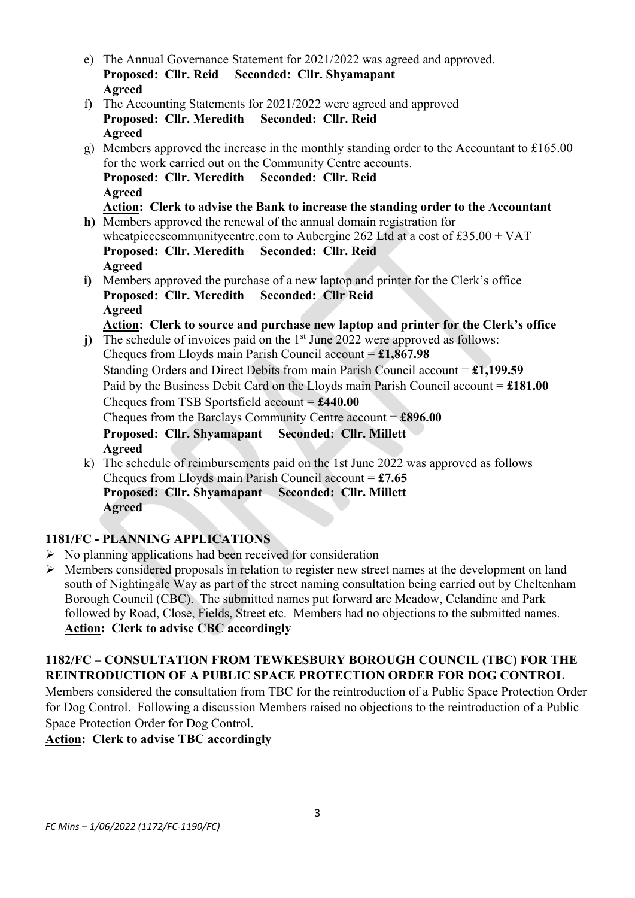- e) The Annual Governance Statement for 2021/2022 was agreed and approved. **Proposed: Cllr. Reid Seconded: Cllr. Shyamapant Agreed** f) The Accounting Statements for 2021/2022 were agreed and approved **Proposed: Cllr. Meredith Seconded: Cllr. Reid Agreed**
- g) Members approved the increase in the monthly standing order to the Accountant to £165.00 for the work carried out on the Community Centre accounts. **Proposed: Cllr. Meredith Seconded: Cllr. Reid Agreed Action: Clerk to advise the Bank to increase the standing order to the Accountant**
- **h)** Members approved the renewal of the annual domain registration for wheatpieces community centre.com to Aubergine 262 Ltd at a cost of £35.00 + VAT **Proposed: Cllr. Meredith Seconded: Cllr. Reid Agreed**
- **i)** Members approved the purchase of a new laptop and printer for the Clerk's office **Proposed: Cllr. Meredith Seconded: Cllr Reid Agreed**
	- **Action: Clerk to source and purchase new laptop and printer for the Clerk's office**
- j) The schedule of invoices paid on the 1<sup>st</sup> June 2022 were approved as follows: Cheques from Lloyds main Parish Council account = **£1,867.98** Standing Orders and Direct Debits from main Parish Council account = **£1,199.59** Paid by the Business Debit Card on the Lloyds main Parish Council account = **£181.00** Cheques from TSB Sportsfield account = **£440.00** Cheques from the Barclays Community Centre account = **£896.00 Proposed: Cllr. Shyamapant Seconded: Cllr. Millett Agreed** k) The schedule of reimbursements paid on the 1st June 2022 was approved as follows
- Cheques from Lloyds main Parish Council account = **£7.65 Proposed: Cllr. Shyamapant Seconded: Cllr. Millett Agreed**

# **1181/FC - PLANNING APPLICATIONS**

- $\triangleright$  No planning applications had been received for consideration
- ➢ Members considered proposals in relation to register new street names at the development on land south of Nightingale Way as part of the street naming consultation being carried out by Cheltenham Borough Council (CBC). The submitted names put forward are Meadow, Celandine and Park followed by Road, Close, Fields, Street etc. Members had no objections to the submitted names. **Action: Clerk to advise CBC accordingly**

# **1182/FC – CONSULTATION FROM TEWKESBURY BOROUGH COUNCIL (TBC) FOR THE REINTRODUCTION OF A PUBLIC SPACE PROTECTION ORDER FOR DOG CONTROL**

Members considered the consultation from TBC for the reintroduction of a Public Space Protection Order for Dog Control. Following a discussion Members raised no objections to the reintroduction of a Public Space Protection Order for Dog Control.

# **Action: Clerk to advise TBC accordingly**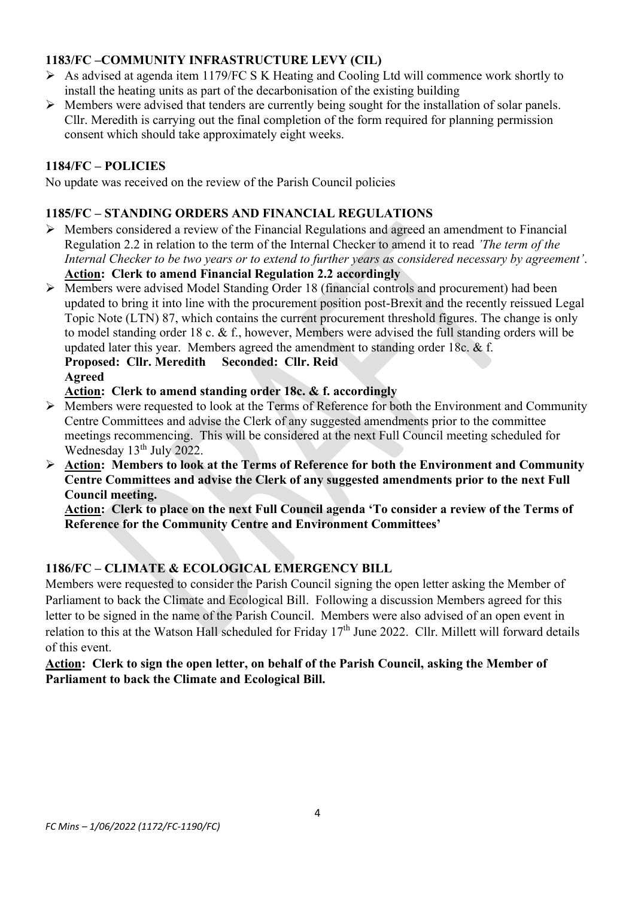# **1183/FC –COMMUNITY INFRASTRUCTURE LEVY (CIL)**

- ➢ As advised at agenda item 1179/FC S K Heating and Cooling Ltd will commence work shortly to install the heating units as part of the decarbonisation of the existing building
- $\triangleright$  Members were advised that tenders are currently being sought for the installation of solar panels. Cllr. Meredith is carrying out the final completion of the form required for planning permission consent which should take approximately eight weeks.

# **1184/FC – POLICIES**

No update was received on the review of the Parish Council policies

# **1185/FC – STANDING ORDERS AND FINANCIAL REGULATIONS**

- ➢ Members considered a review of the Financial Regulations and agreed an amendment to Financial Regulation 2.2 in relation to the term of the Internal Checker to amend it to read *'The term of the Internal Checker to be two years or to extend to further years as considered necessary by agreement'*. **Action: Clerk to amend Financial Regulation 2.2 accordingly**
- ➢ Members were advised Model Standing Order 18 (financial controls and procurement) had been updated to bring it into line with the procurement position post-Brexit and the recently reissued Legal Topic Note (LTN) 87, which contains the current procurement threshold figures. The change is only to model standing order 18 c. & f., however, Members were advised the full standing orders will be updated later this year. Members agreed the amendment to standing order 18c. & f. **Proposed: Cllr. Meredith Seconded: Cllr. Reid**

### **Action: Clerk to amend standing order 18c. & f. accordingly**

- ➢ Members were requested to look at the Terms of Reference for both the Environment and Community Centre Committees and advise the Clerk of any suggested amendments prior to the committee meetings recommencing. This will be considered at the next Full Council meeting scheduled for Wednesday 13<sup>th</sup> July 2022.
- ➢ **Action: Members to look at the Terms of Reference for both the Environment and Community Centre Committees and advise the Clerk of any suggested amendments prior to the next Full Council meeting.**

**Action: Clerk to place on the next Full Council agenda 'To consider a review of the Terms of Reference for the Community Centre and Environment Committees'**

### **1186/FC – CLIMATE & ECOLOGICAL EMERGENCY BILL**

Members were requested to consider the Parish Council signing the open letter asking the Member of Parliament to back the Climate and Ecological Bill. Following a discussion Members agreed for this letter to be signed in the name of the Parish Council. Members were also advised of an open event in relation to this at the Watson Hall scheduled for Friday 17<sup>th</sup> June 2022. Cllr. Millett will forward details of this event.

**Action: Clerk to sign the open letter, on behalf of the Parish Council, asking the Member of Parliament to back the Climate and Ecological Bill.** 

**Agreed**